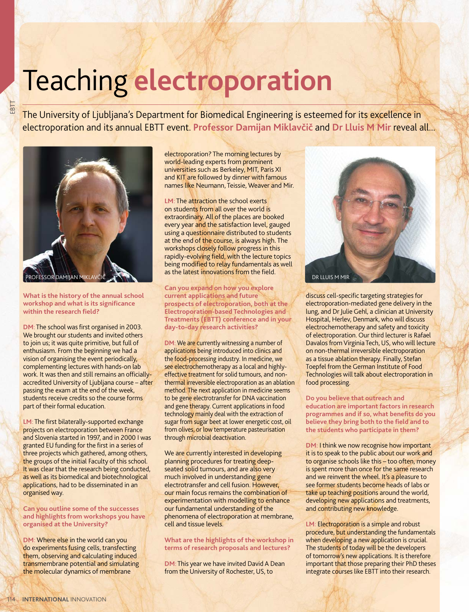## Teaching **electroporation**

The University of Ljubljana's Department for Biomedical Engineering is esteemed for its excellence in electroporation and its annual EBTT event. **Professor Damijan Miklavčič** and **Dr Lluis M Mir** reveal all...



EBTT

**What is the history of the annual school workshop and what is its signifi cance**  within the research field?

**DM**: The school was first organised in 2003. We brought our students and invited others to join us; it was quite primitive, but full of enthusiasm. From the beginning we had a vision of organising the event periodically, complementing lectures with hands-on lab work. It was then and still remains an officiallyaccredited University of Ljubljana course – after passing the exam at the end of the week, students receive credits so the course forms part of their formal education.

LM: The first bilaterally-supported exchange projects on electroporation between France and Slovenia started in 1997, and in 2000 I was granted EU funding for the first in a series of three projects which gathered, among others, the groups of the initial Faculty of this school. It was clear that the research being conducted, as well as its biomedical and biotechnological applications, had to be disseminated in an organised way.

**Can you outline some of the successes and highlights from workshops you have organised at the University?**

**DM**: Where else in the world can you do experiments fusing cells, transfecting them, observing and calculating induced transmembrane potential and simulating the molecular dynamics of membrane

electroporation? The morning lectures by world-leading experts from prominent universities such as Berkeley, MIT, Paris XI and KIT are followed by dinner with famous names like Neumann, Teissie, Weaver and Mir.

**LM**: The attraction the school exerts on students from all over the world is extraordinary. All of the places are booked every year and the satisfaction level, gauged using a questionnaire distributed to students at the end of the course, is always high. The workshops closely follow progress in this rapidly-evolving field, with the lecture topics being modified to relay fundamentals as well as the latest innovations from the field.

**Can you expand on how you explore current applications and future prospects of electroporation, both at the Electroporation-based Technologies and Treatments (EBTT) conference and in your day-to-day research activities?**

**DM**: We are currently witnessing a number of applications being introduced into clinics and the food-processing industry. In medicine, we see electrochemotherapy as a local and highlyeffective treatment for solid tumours, and nonthermal irreversible electroporation as an ablation method. The next application in medicine seems to be gene electrotransfer for DNA vaccination and gene therapy. Current applications in food technology mainly deal with the extraction of sugar from sugar beet at lower energetic cost, oil from olives, or low temperature pasteurisation through microbial deactivation.

We are currently interested in developing planning procedures for treating deepseated solid tumours, and are also very much involved in understanding gene electrotransfer and cell fusion. However, our main focus remains the combination of experimentation with modelling to enhance our fundamental understanding of the phenomena of electroporation at membrane, cell and tissue levels.

## **What are the highlights of the workshop in terms of research proposals and lectures?**

**DM**: This year we have invited David A Dean from the University of Rochester, US, to



discuss cell-specific targeting strategies for electroporation-mediated gene delivery in the lung, and Dr Julie Gehl, a clinician at University Hospital, Herlev, Denmark, who will discuss electrochemotherapy and safety and toxicity of electroporation. Our third lecturer is Rafael Davalos from Virginia Tech, US, who will lecture on non-thermal irreversible electroporation as a tissue ablation therapy. Finally, Stefan Toepfel from the German Institute of Food Technologies will talk about electroporation in food processing.

**Do you believe that outreach and education are important factors in research**  programmes and if so, what benefits do you believe they bring both to the field and to **the students who participate in them?**

**DM**: I think we now recognise how important it is to speak to the public about our work and to organise schools like this – too often, money is spent more than once for the same research and we reinvent the wheel. It's a pleasure to see former students become heads of labs or take up teaching positions around the world, developing new applications and treatments, and contributing new knowledge.

**LM**: Electroporation is a simple and robust procedure, but understanding the fundamentals when developing a new application is crucial. The students of today will be the developers of tomorrow's new applications. It is therefore important that those preparing their PhD theses integrate courses like EBTT into their research.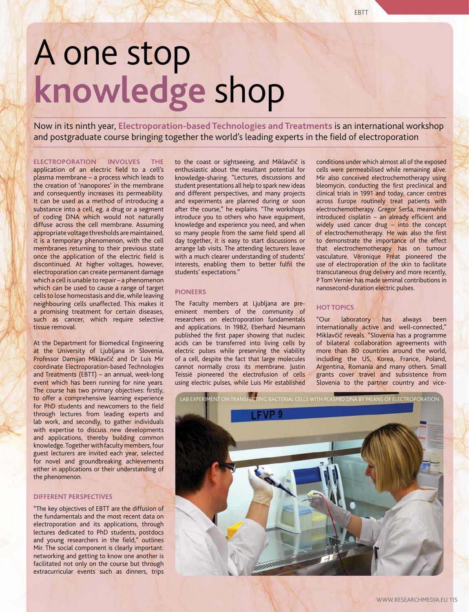# A one stop **knowledge** shop

Now in its ninth year, **Electroporation-based Technologies and Treatments** is an international workshop and postgraduate course bringing together the world's leading experts in the field of electroporation

## **ELECTROPORATION INVOLVES THE**

application of an electric field to a cell's plasma membrane – a process which leads to the creation of 'nanopores' in the membrane and consequently increases its permeability. It can be used as a method of introducing a substance into a cell, eg. a drug or a segment of coding DNA which would not naturally diffuse across the cell membrane. Assuming appropriate voltage thresholds are maintained, it is a temporary phenomenon, with the cell membranes returning to their previous state once the application of the electric field is discontinued. At higher voltages, however, electroporation can create permanent damage which a cell is unable to repair – a phenomenon which can be used to cause a range of target cells to lose homeostasis and die, while leaving neighbouring cells unaffected. This makes it a promising treatment for certain diseases, such as cancer, which require selective tissue removal.

At the Department for Biomedical Engineering at the University of Ljubljana in Slovenia, Professor Damijan Miklavčič and Dr Luis Mir coordinate Electroporation-based Technologies and Treatments (EBTT) – an annual, week-long event which has been running for nine years. The course has two primary objectives: firstly, to offer a comprehensive learning experience for PhD students and newcomers to the field through lectures from leading experts and lab work, and secondly, to gather individuals with expertise to discuss new developments and applications, thereby building common knowledge. Together with faculty members, four guest lecturers are invited each year, selected for novel and groundbreaking achievements either in applications or their understanding of the phenomenon.

## **DIFFERENT PERSPECTIVES**

"The key objectives of EBTT are the diffusion of the fundamentals and the most recent data on electroporation and its applications, through lectures dedicated to PhD students, postdocs and young researchers in the field," outlines Mir. The social component is clearly important: networking and getting to know one another is facilitated not only on the course but through extracurricular events such as dinners, trips

to the coast or sightseeing, and Miklavčič is enthusiastic about the resultant potential for knowledge-sharing. "Lectures, discussions and student presentations all help to spark new ideas and different perspectives, and many projects and experiments are planned during or soon after the course," he explains. "The workshops introduce you to others who have equipment, knowledge and experience you need, and when so many people from the same field spend all day together, it is easy to start discussions or arrange lab visits. The attending lecturers leave with a much clearer understanding of students' interests, enabling them to better fulfil the students' expectations."

## **PIONEERS**

The Faculty members at Ljubljana are preeminent members of the community of researchers on electroporation fundamentals and applications. In 1982, Eberhard Neumann published the first paper showing that nucleic acids can be transferred into living cells by electric pulses while preserving the viability of a cell, despite the fact that large molecules cannot normally cross its membrane. Justin Teissié pioneered the electrofusion of cells using electric pulses, while Luis Mir established

conditions under which almost all of the exposed cells were permeabilised while remaining alive. Mir also conceived electrochemotherapy using bleomycin, conducting the first preclinical and clinical trials in 1991 and today, cancer centres across Europe routinely treat patients with electrochemotherapy. Gregor Serša, meanwhile  $introduced$  cisplatin – an already efficient and widely used cancer drug – into the concept of electrochemotherapy. He was also the first to demonstrate the importance of the effect that electrochemotherapy has on tumour vasculature. Véronique Préat pioneered the use of electroporation of the skin to facilitate transcutaneous drug delivery and more recently, P Tom Vernier has made seminal contributions in nanosecond-duration electric pulses.

## **HOT TOPICS**

"Our laboratory has always been internationally active and well-connected," Miklavčič reveals. "Slovenia has a programme of bilateral collaboration agreements with more than 80 countries around the world, including the US, Korea, France, Poland, Argentina, Romania and many others. Small grants cover travel and subsistence from Slovenia to the partner country and vice-